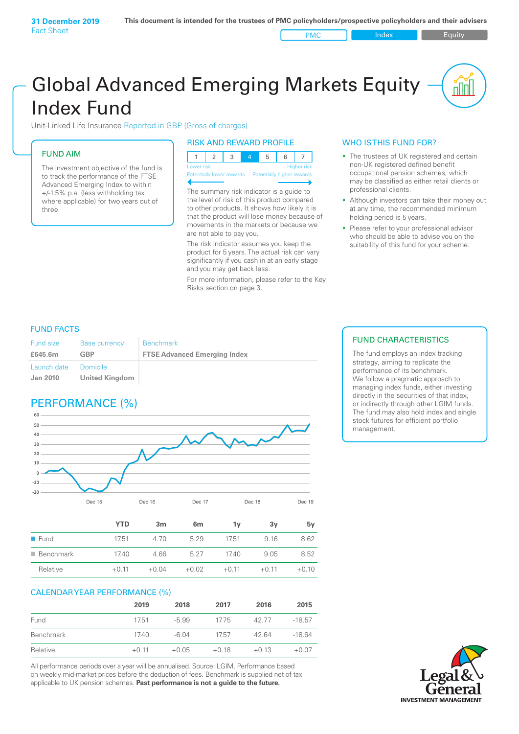PMC Index PMC Equity

# Global Advanced Emerging Markets Equity Index Fund

Unit-Linked Life Insurance Reported in GBP (Gross of charges)

### FUND AIM

The investment objective of the fund is to track the performance of the FTSE Advanced Emerging Index to within +/‑1.5% p.a. (less withholding tax where applicable) for two years out of three.

#### RISK AND REWARD PROFILE

| Lower risk |  |  | Higher risk |
|------------|--|--|-------------|

ntially lower rewards

The summary risk indicator is a guide to the level of risk of this product compared to other products. It shows how likely it is that the product will lose money because of movements in the markets or because we are not able to pay you.

The risk indicator assumes you keep the product for 5 years. The actual risk can vary significantly if you cash in at an early stage and you may get back less.

For more information, please refer to the Key Risks section on page 3.

#### WHO IS THIS FUND FOR?

- The trustees of UK registered and certain non-UK registered defined benefit occupational pension schemes, which may be classified as either retail clients or professional clients.
- Although investors can take their money out at any time, the recommended minimum holding period is 5 years.
- Please refer to your professional advisor who should be able to advise you on the suitability of this fund for your scheme.

#### FUND FACTS

| <b>Fund size</b>        | <b>Base currency</b>       | <b>Benchmark</b>                    |
|-------------------------|----------------------------|-------------------------------------|
| £645.6m                 | GBP                        | <b>FTSE Advanced Emerging Index</b> |
| Launch date<br>Jan 2010 | Domicile<br>United Kingdom |                                     |

## PERFORMANCE (%)



|                          | <b>YTD</b> | 3m      | 6m      | 1v      | 3y      | 5۷      |
|--------------------------|------------|---------|---------|---------|---------|---------|
| $\blacksquare$ Fund      | 17.51      | 4.70    | 5.29    | 17.51   | 9.16    | 8.62    |
| $\blacksquare$ Benchmark | 17.40      | 4.66    | 5.27    | 17.40   | 9.05    | 8.52    |
| Relative                 | $+0.11$    | $+0.04$ | $+0.02$ | $+0.11$ | $+0.11$ | $+0.10$ |

#### CALENDAR YEAR PERFORMANCE (%)

|           | 2019    | 2018    | 2017    | 2016    | 2015     |
|-----------|---------|---------|---------|---------|----------|
| Fund      | 1751    | $-5.99$ | 1775    | 42.77   | $-18.57$ |
| Benchmark | 17.40   | -6.04   | 1757    | 42.64   | $-18.64$ |
| Relative  | $+0.11$ | $+0.05$ | $+0.18$ | $+0.13$ | $+0.07$  |

All performance periods over a year will be annualised. Source: LGIM. Performance based on weekly mid-market prices before the deduction of fees. Benchmark is supplied net of tax applicable to UK pension schemes. **Past performance is not a guide to the future.**

### FUND CHARACTERISTICS

The fund employs an index tracking strategy, aiming to replicate the performance of its benchmark. We follow a pragmatic approach to managing index funds, either investing directly in the securities of that index, or indirectly through other LGIM funds. The fund may also hold index and single stock futures for efficient portfolio management.

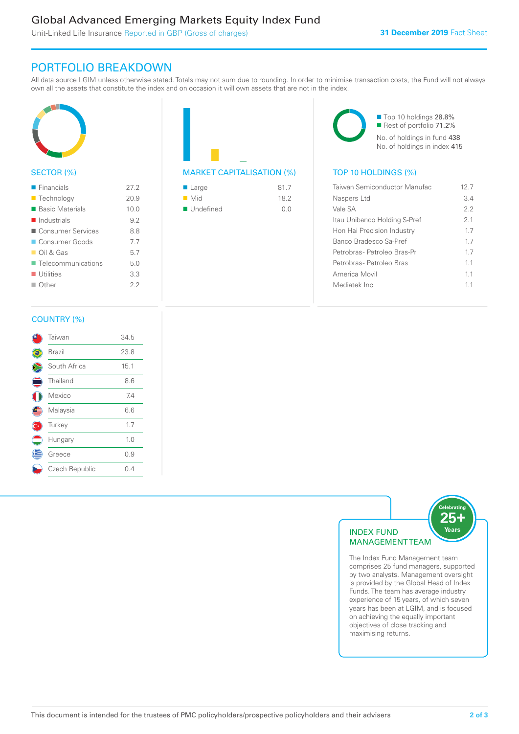### Global Advanced Emerging Markets Equity Index Fund

Unit-Linked Life Insurance Reported in GBP (Gross of charges)

### PORTFOLIO BREAKDOWN

All data source LGIM unless otherwise stated. Totals may not sum due to rounding. In order to minimise transaction costs, the Fund will not always own all the assets that constitute the index and on occasion it will own assets that are not in the index.



#### SECTOR (%)

| $\blacksquare$ Financials  | 27.2 |
|----------------------------|------|
| ■ Technology               | 20.9 |
| ■ Basic Materials          | 10.0 |
| $\blacksquare$ Industrials | 9.2  |
| ■ Consumer Services        | 88   |
| Consumer Goods             | 77   |
| $\Box$ Oil & Gas           | 5.7  |
| ■ Telecommunications       | 50   |
| $\blacksquare$ Utilities   | 3.3  |
| $\Box$ Other               | 22   |
|                            |      |



| $\blacksquare$ Large     | 81.7 |
|--------------------------|------|
| $\blacksquare$ Mid       | 18.2 |
| $\blacksquare$ Undefined | 0.0  |



| Taiwan Semiconductor Manufac | 12 7 |
|------------------------------|------|
| Naspers Ltd                  | 34   |
| Vale SA                      | フフ   |
| Itau Unibanco Holding S-Pref | 21   |
| Hon Hai Precision Industry   | 17   |
| Banco Bradesco Sa-Pref       | 17   |
| Petrobras- Petroleo Bras-Pr  | 17   |
| Petrobras- Petroleo Bras     | 11   |
| America Movil                | 11   |
| Mediatek Inc                 | 11   |
|                              |      |

#### COUNTRY (%)

|     | Taiwan         | 34.5 |
|-----|----------------|------|
|     | Brazil         | 23.8 |
|     | South Africa   | 15.1 |
| Ξ   | Thailand       | 8.6  |
|     | Mexico         | 7.4  |
| Œ   | Malaysia       | 6.6  |
| (C* | Turkey         | 1.7  |
|     | Hungary        | 1.0  |
| Æ   | Greece         | 0.9  |
|     | Czech Republic | 0.4  |
|     |                |      |



comprises 25 fund managers, supported by two analysts. Management oversight is provided by the Global Head of Index Funds. The team has average industry experience of 15 years, of which seven years has been at LGIM, and is focused on achieving the equally important objectives of close tracking and maximising returns.